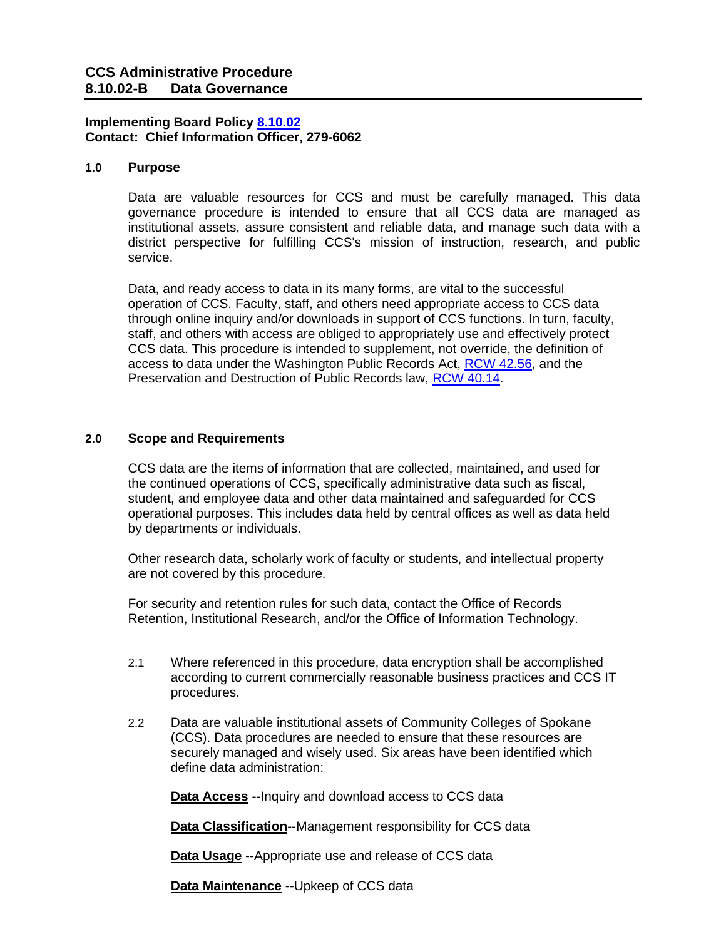# **Implementing Board Policy [8.10.02](https://ccs.spokane.edu/About-Us/Leadership/Board-of-Trustees/Policies-Procedures/Chapter8) Contact: Chief Information Officer, 279-6062**

#### **1.0 Purpose**

Data are valuable resources for CCS and must be carefully managed. This data governance procedure is intended to ensure that all CCS data are managed as institutional assets, assure consistent and reliable data, and manage such data with a district perspective for fulfilling CCS's mission of instruction, research, and public service.

Data, and ready access to data in its many forms, are vital to the successful operation of CCS. Faculty, staff, and others need appropriate access to CCS data through online inquiry and/or downloads in support of CCS functions. In turn, faculty, staff, and others with access are obliged to appropriately use and effectively protect CCS data. This procedure is intended to supplement, not override, the definition of access to data under the Washington Public Records Act, [RCW 42.56,](http://apps.leg.wa.gov/RCW/default.aspx?cite=42.56) and the Preservation and Destruction of Public Records law, [RCW 40.14.](http://apps.leg.wa.gov/RCW/default.aspx?cite=40.14)

# **2.0 Scope and Requirements**

CCS data are the items of information that are collected, maintained, and used for the continued operations of CCS, specifically administrative data such as fiscal, student, and employee data and other data maintained and safeguarded for CCS operational purposes. This includes data held by central offices as well as data held by departments or individuals.

Other research data, scholarly work of faculty or students, and intellectual property are not covered by this procedure.

For security and retention rules for such data, contact the Office of Records Retention, Institutional Research, and/or the Office of Information Technology.

- 2.1 Where referenced in this procedure, data encryption shall be accomplished according to current commercially reasonable business practices and CCS IT procedures.
- 2.2 Data are valuable institutional assets of Community Colleges of Spokane (CCS). Data procedures are needed to ensure that these resources are securely managed and wisely used. Six areas have been identified which define data administration:

**Data Access** --Inquiry and download access to CCS data

**Data Classification**--Management responsibility for CCS data

**Data Usage** --Appropriate use and release of CCS data

**Data Maintenance** --Upkeep of CCS data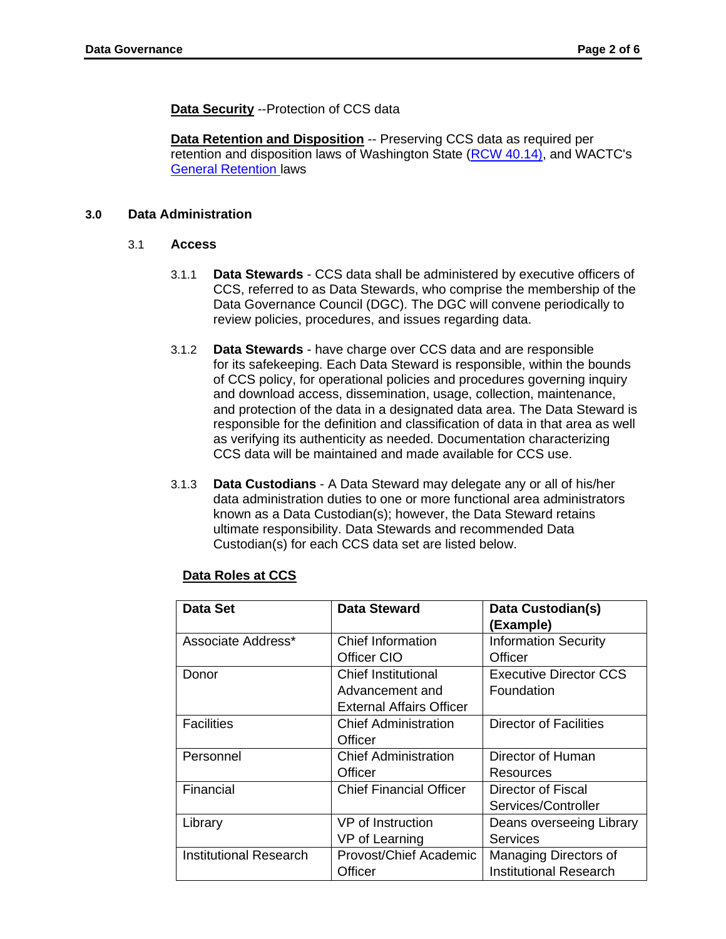**Data Security** --Protection of CCS data

**Data Retention and Disposition** -- Preserving CCS data as required per retention and disposition laws of Washington State [\(RCW 40.14\),](http://apps.leg.wa.gov/RCW/default.aspx?cite=40.14) and WACTC's [General Retention](https://www.sbctc.edu/colleges-staff/policies-rules/policy-manual/chapter-7.aspx#section-7-30) [la](https://www.sbctc.edu/colleges-staff/policies-rules/policy-manual/chapter-7.aspx#section-7-30)ws

# **3.0 Data Administration**

#### 3.1 **Access**

- 3.1.1 **Data Stewards** CCS data shall be administered by executive officers of CCS, referred to as Data Stewards, who comprise the membership of the Data Governance Council (DGC). The DGC will convene periodically to review policies, procedures, and issues regarding data.
- 3.1.2 **Data Stewards**  have charge over CCS data and are responsible for its safekeeping. Each Data Steward is responsible, within the bounds of CCS policy, for operational policies and procedures governing inquiry and download access, dissemination, usage, collection, maintenance, and protection of the data in a designated data area. The Data Steward is responsible for the definition and classification of data in that area as well as verifying its authenticity as needed. Documentation characterizing CCS data will be maintained and made available for CCS use.
- 3.1.3 **Data Custodians**  A Data Steward may delegate any or all of his/her data administration duties to one or more functional area administrators known as a Data Custodian(s); however, the Data Steward retains ultimate responsibility. Data Stewards and recommended Data Custodian(s) for each CCS data set are listed below.

| Data Set                      | Data Steward                    | Data Custodian(s)<br>(Example) |
|-------------------------------|---------------------------------|--------------------------------|
| Associate Address*            | <b>Chief Information</b>        | <b>Information Security</b>    |
|                               | Officer CIO                     | Officer                        |
| Donor                         | <b>Chief Institutional</b>      | <b>Executive Director CCS</b>  |
|                               | Advancement and                 | Foundation                     |
|                               | <b>External Affairs Officer</b> |                                |
| <b>Facilities</b>             | <b>Chief Administration</b>     | Director of Facilities         |
|                               | Officer                         |                                |
| Personnel                     | <b>Chief Administration</b>     | Director of Human              |
|                               | Officer                         | Resources                      |
| Financial                     | <b>Chief Financial Officer</b>  | Director of Fiscal             |
|                               |                                 | Services/Controller            |
| Library                       | VP of Instruction               | Deans overseeing Library       |
|                               | VP of Learning                  | <b>Services</b>                |
| <b>Institutional Research</b> | Provost/Chief Academic          | Managing Directors of          |
|                               | Officer                         | <b>Institutional Research</b>  |

# **Data Roles at CCS**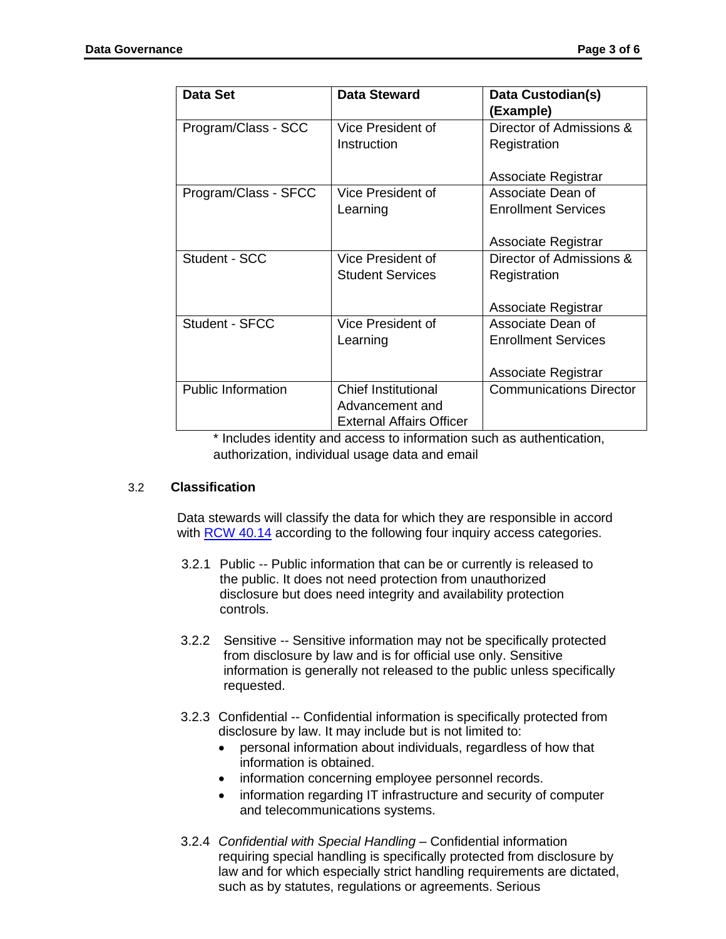| Data Set                  | Data Steward                    | Data Custodian(s)<br>(Example) |
|---------------------------|---------------------------------|--------------------------------|
| Program/Class - SCC       | Vice President of               | Director of Admissions &       |
|                           | Instruction                     | Registration                   |
|                           |                                 |                                |
|                           |                                 | Associate Registrar            |
| Program/Class - SFCC      | Vice President of               | Associate Dean of              |
|                           | Learning                        | <b>Enrollment Services</b>     |
|                           |                                 |                                |
|                           |                                 | Associate Registrar            |
| Student - SCC             | Vice President of               | Director of Admissions &       |
|                           | <b>Student Services</b>         | Registration                   |
|                           |                                 |                                |
|                           |                                 | Associate Registrar            |
| Student - SFCC            | Vice President of               | Associate Dean of              |
|                           | Learning                        | <b>Enrollment Services</b>     |
|                           |                                 |                                |
|                           |                                 | Associate Registrar            |
| <b>Public Information</b> | <b>Chief Institutional</b>      | <b>Communications Director</b> |
|                           | Advancement and                 |                                |
|                           | <b>External Affairs Officer</b> |                                |

\* Includes identity and access to information such as authentication, authorization, individual usage data and email

# 3.2 **Classification**

Data stewards will classify the data for which they are responsible in accord with **RCW [40.14](http://app.leg.wa.gov/RCW/default.aspx?cite=40.14)** according to the following four inquiry access categories.

- 3.2.1 Public -- Public information that can be or currently is released to the public. It does not need protection from unauthorized disclosure but does need integrity and availability protection controls.
- 3.2.2 Sensitive -- Sensitive information may not be specifically protected from disclosure by law and is for official use only. Sensitive information is generally not released to the public unless specifically requested.
- 3.2.3 Confidential -- Confidential information is specifically protected from disclosure by law. It may include but is not limited to:
	- personal information about individuals, regardless of how that information is obtained.
	- information concerning employee personnel records.
	- information regarding IT infrastructure and security of computer and telecommunications systems.
- 3.2.4 *Confidential with Special Handling* Confidential information requiring special handling is specifically protected from disclosure by law and for which especially strict handling requirements are dictated, such as by statutes, regulations or agreements. Serious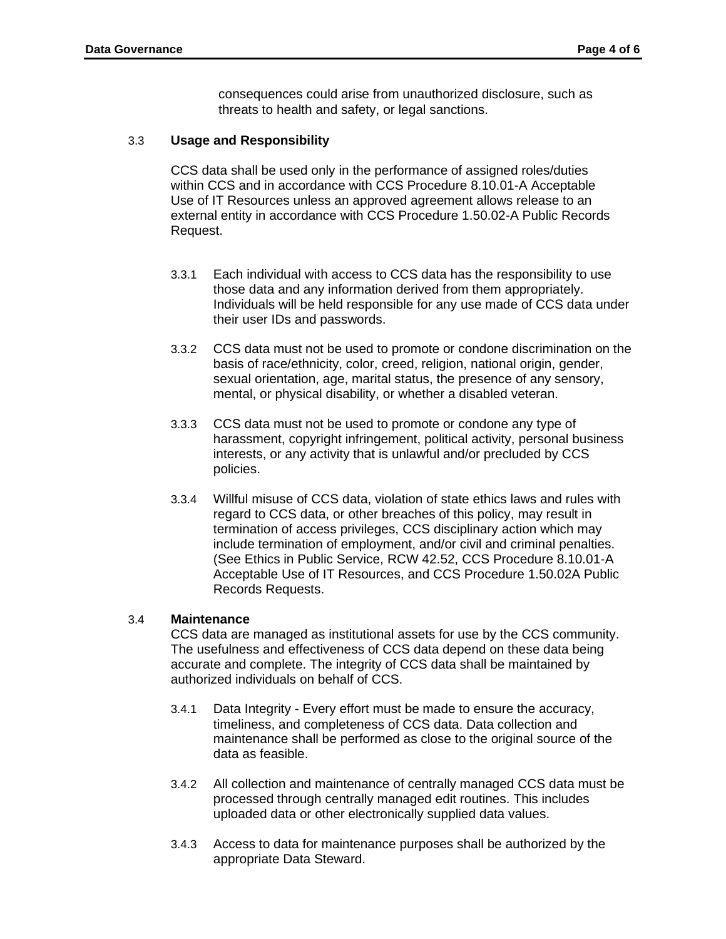consequences could arise from unauthorized disclosure, such as threats to health and safety, or legal sanctions.

#### 3.3 **Usage and Responsibility**

CCS data shall be used only in the performance of assigned roles/duties within CCS and in accordance with CCS Procedure 8.10.01-A Acceptable Use of IT Resources unless an approved agreement allows release to an external entity in accordance with CCS Procedure 1.50.02-A Public Records Request.

- 3.3.1 Each individual with access to CCS data has the responsibility to use those data and any information derived from them appropriately. Individuals will be held responsible for any use made of CCS data under their user IDs and passwords.
- 3.3.2 CCS data must not be used to promote or condone discrimination on the basis of race/ethnicity, color, creed, religion, national origin, gender, sexual orientation, age, marital status, the presence of any sensory, mental, or physical disability, or whether a disabled veteran.
- 3.3.3 CCS data must not be used to promote or condone any type of harassment, copyright infringement, political activity, personal business interests, or any activity that is unlawful and/or precluded by CCS policies.
- 3.3.4 Willful misuse of CCS data, violation of state ethics laws and rules with regard to CCS data, or other breaches of this policy, may result in termination of access privileges, CCS disciplinary action which may include termination of employment, and/or civil and criminal penalties. (See Ethics in Public Service, RCW 42.52, CCS Procedure 8.10.01-A Acceptable Use of IT Resources, and CCS Procedure 1.50.02A Public Records Requests.

#### 3.4 **Maintenance**

CCS data are managed as institutional assets for use by the CCS community. The usefulness and effectiveness of CCS data depend on these data being accurate and complete. The integrity of CCS data shall be maintained by authorized individuals on behalf of CCS.

- 3.4.1 Data Integrity Every effort must be made to ensure the accuracy, timeliness, and completeness of CCS data. Data collection and maintenance shall be performed as close to the original source of the data as feasible.
- 3.4.2 All collection and maintenance of centrally managed CCS data must be processed through centrally managed edit routines. This includes uploaded data or other electronically supplied data values.
- 3.4.3 Access to data for maintenance purposes shall be authorized by the appropriate Data Steward.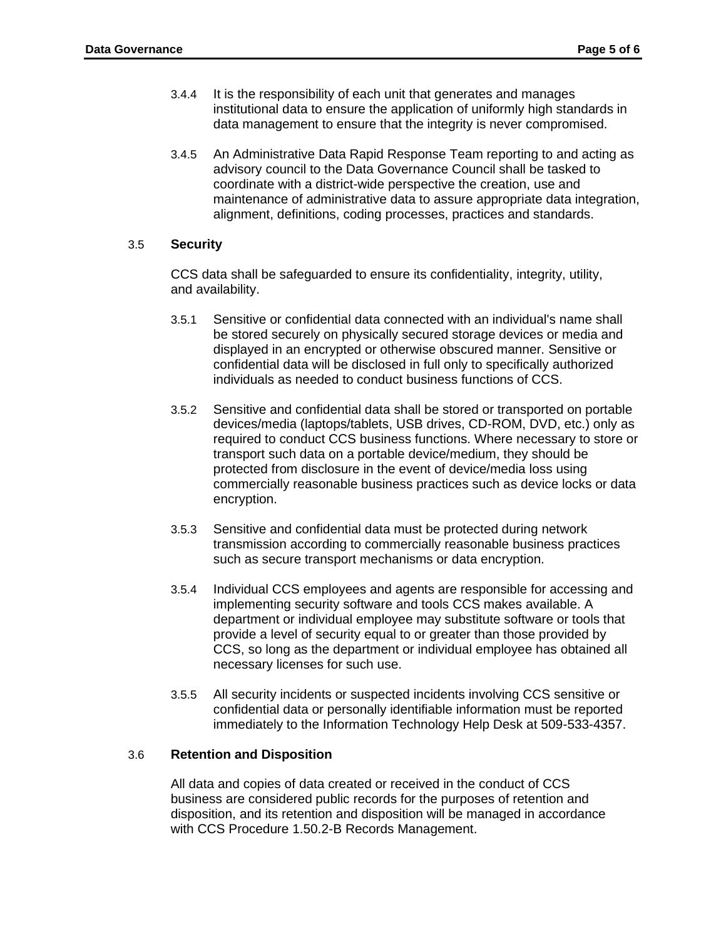- 3.4.4 It is the responsibility of each unit that generates and manages institutional data to ensure the application of uniformly high standards in data management to ensure that the integrity is never compromised.
- 3.4.5 An Administrative Data Rapid Response Team reporting to and acting as advisory council to the Data Governance Council shall be tasked to coordinate with a district-wide perspective the creation, use and maintenance of administrative data to assure appropriate data integration, alignment, definitions, coding processes, practices and standards.

# 3.5 **Security**

CCS data shall be safeguarded to ensure its confidentiality, integrity, utility, and availability.

- 3.5.1 Sensitive or confidential data connected with an individual's name shall be stored securely on physically secured storage devices or media and displayed in an encrypted or otherwise obscured manner. Sensitive or confidential data will be disclosed in full only to specifically authorized individuals as needed to conduct business functions of CCS.
- 3.5.2 Sensitive and confidential data shall be stored or transported on portable devices/media (laptops/tablets, USB drives, CD-ROM, DVD, etc.) only as required to conduct CCS business functions. Where necessary to store or transport such data on a portable device/medium, they should be protected from disclosure in the event of device/media loss using commercially reasonable business practices such as device locks or data encryption.
- 3.5.3 Sensitive and confidential data must be protected during network transmission according to commercially reasonable business practices such as secure transport mechanisms or data encryption.
- 3.5.4 Individual CCS employees and agents are responsible for accessing and implementing security software and tools CCS makes available. A department or individual employee may substitute software or tools that provide a level of security equal to or greater than those provided by CCS, so long as the department or individual employee has obtained all necessary licenses for such use.
- 3.5.5 All security incidents or suspected incidents involving CCS sensitive or confidential data or personally identifiable information must be reported immediately to the Information Technology Help Desk at 509-533-4357.

# 3.6 **Retention and Disposition**

All data and copies of data created or received in the conduct of CCS business are considered public records for the purposes of retention and disposition, and its retention and disposition will be managed in accordance with CCS Procedure 1.50.2-B Records Management.